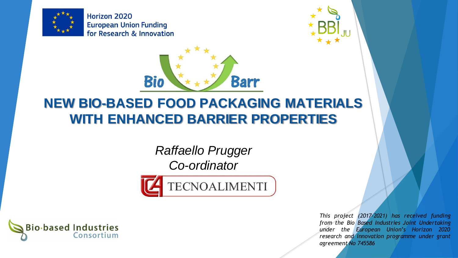

Horizon 2020 **European Union Funding** for Research & Innovation





## **NEW BIO-BASED FOOD PACKAGING MATERIALS WITH ENHANCED BARRIER PROPERTIES**

*Raffaello Prugger Co-ordinator*





*This project (2017-2021) has received funding from the Bio Based Industries Joint Undertaking under the European Union's Horizon 2020 research and innovation programme under grant agreement No 745586*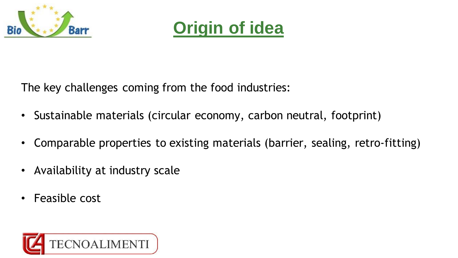



The key challenges coming from the food industries:

- Sustainable materials (circular economy, carbon neutral, footprint)
- Comparable properties to existing materials (barrier, sealing, retro-fitting)
- Availability at industry scale
- Feasible cost

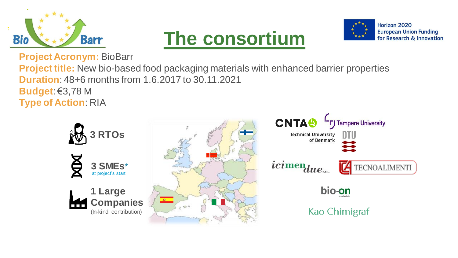





**Project Acronym:** BioBarr

**Project title:** New bio-based food packaging materials with enhanced barrier properties **Duration**: 48+6 months from 1.6.2017 to 30.11.2021 **Budget**: €3,78 M **Type of Action**: RIA

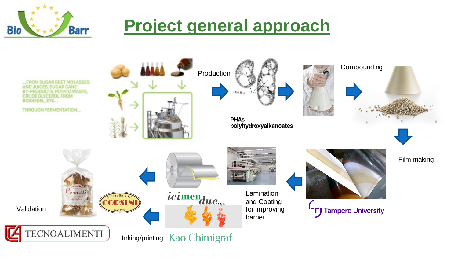## **Project general approach**

**M SUGAR BEET MOLASSES CES, SUGAR CANE** BY-PRODUCTS, POTATO WASTE, **CRUDE GLYCEROL FROM BIODIESEL, ETC...** 

**Barr** 

**THROUGH FERMENTATION...** 



Production

**PHAs** polyhydroxyalkanoates





**CODSINI** Cornetti





**Lamination** and Coating for improving barrier



**TJ** Tampere University

Film making

Validation

**Bio** 

**TECNOALIMENTI** 

Inking/printing Kao Chimigraf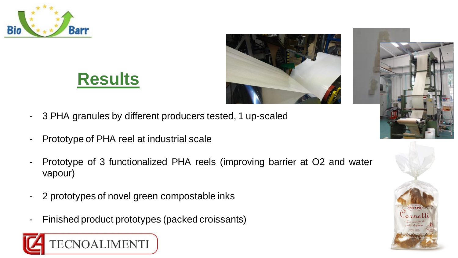

## **Results**





- 3 PHA granules by different producers tested, 1 up-scaled
- Prototype of PHA reel at industrial scale
- Prototype of 3 functionalized PHA reels (improving barrier at O2 and water vapour)
- 2 prototypes of novel green compostable inks
- Finished product prototypes (packed croissants)



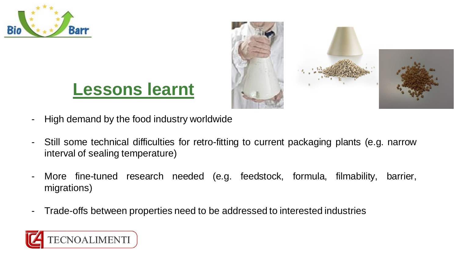





- High demand by the food industry worldwide
- Still some technical difficulties for retro-fitting to current packaging plants (e.g. narrow interval of sealing temperature)
- More fine-tuned research needed (e.g. feedstock, formula, filmability, barrier, migrations)
- Trade-offs between properties need to be addressed to interested industries